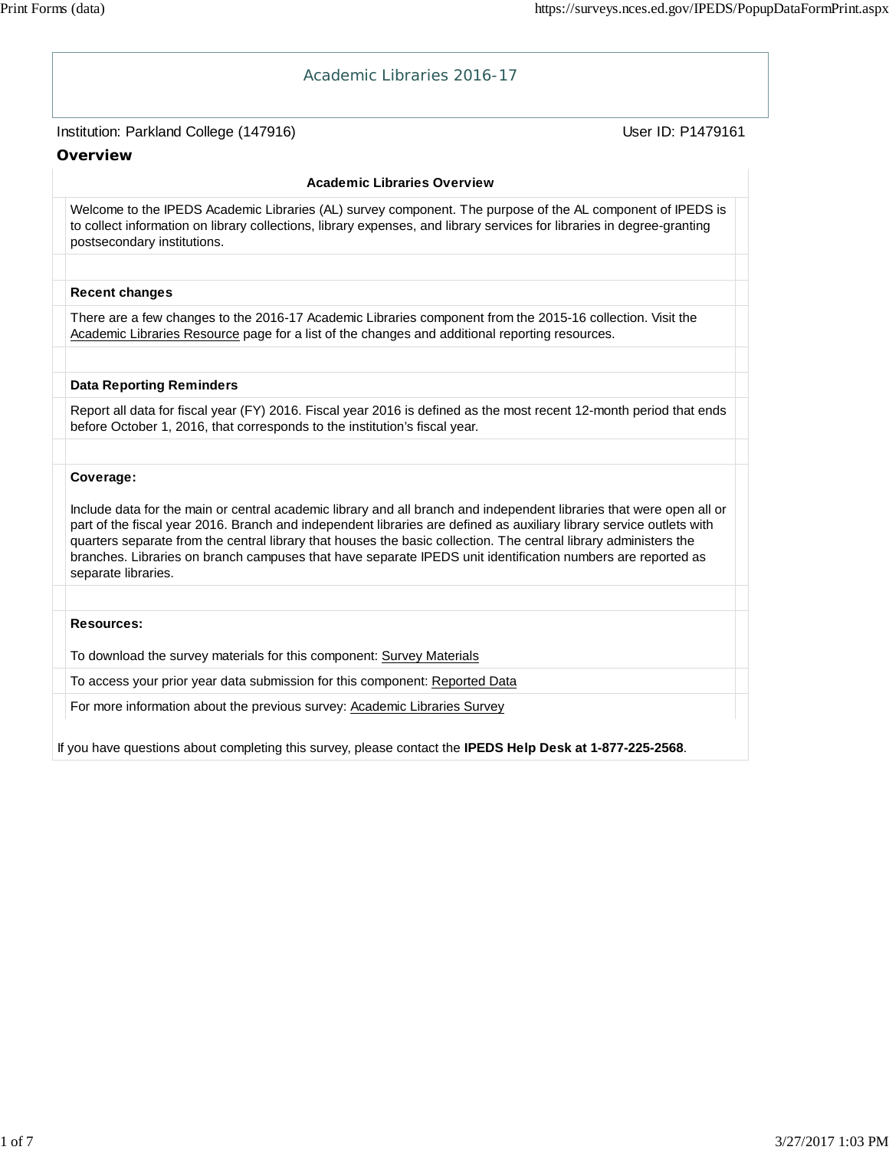| Academic Libraries 2016-17                                                                                                                                                                                                                                                                                                                                                                                                                                                                             |                   |
|--------------------------------------------------------------------------------------------------------------------------------------------------------------------------------------------------------------------------------------------------------------------------------------------------------------------------------------------------------------------------------------------------------------------------------------------------------------------------------------------------------|-------------------|
| Institution: Parkland College (147916)                                                                                                                                                                                                                                                                                                                                                                                                                                                                 | User ID: P1479161 |
| Overview                                                                                                                                                                                                                                                                                                                                                                                                                                                                                               |                   |
| <b>Academic Libraries Overview</b>                                                                                                                                                                                                                                                                                                                                                                                                                                                                     |                   |
| Welcome to the IPEDS Academic Libraries (AL) survey component. The purpose of the AL component of IPEDS is<br>to collect information on library collections, library expenses, and library services for libraries in degree-granting<br>postsecondary institutions.                                                                                                                                                                                                                                    |                   |
|                                                                                                                                                                                                                                                                                                                                                                                                                                                                                                        |                   |
| <b>Recent changes</b>                                                                                                                                                                                                                                                                                                                                                                                                                                                                                  |                   |
| There are a few changes to the 2016-17 Academic Libraries component from the 2015-16 collection. Visit the<br>Academic Libraries Resource page for a list of the changes and additional reporting resources.                                                                                                                                                                                                                                                                                           |                   |
|                                                                                                                                                                                                                                                                                                                                                                                                                                                                                                        |                   |
| <b>Data Reporting Reminders</b>                                                                                                                                                                                                                                                                                                                                                                                                                                                                        |                   |
| Report all data for fiscal year (FY) 2016. Fiscal year 2016 is defined as the most recent 12-month period that ends<br>before October 1, 2016, that corresponds to the institution's fiscal year.                                                                                                                                                                                                                                                                                                      |                   |
|                                                                                                                                                                                                                                                                                                                                                                                                                                                                                                        |                   |
| Coverage:                                                                                                                                                                                                                                                                                                                                                                                                                                                                                              |                   |
| Include data for the main or central academic library and all branch and independent libraries that were open all or<br>part of the fiscal year 2016. Branch and independent libraries are defined as auxiliary library service outlets with<br>quarters separate from the central library that houses the basic collection. The central library administers the<br>branches. Libraries on branch campuses that have separate IPEDS unit identification numbers are reported as<br>separate libraries. |                   |
|                                                                                                                                                                                                                                                                                                                                                                                                                                                                                                        |                   |
| <b>Resources:</b>                                                                                                                                                                                                                                                                                                                                                                                                                                                                                      |                   |
| To download the survey materials for this component: Survey Materials                                                                                                                                                                                                                                                                                                                                                                                                                                  |                   |
| To access your prior year data submission for this component: Reported Data                                                                                                                                                                                                                                                                                                                                                                                                                            |                   |
| For more information about the previous survey: Academic Libraries Survey                                                                                                                                                                                                                                                                                                                                                                                                                              |                   |
|                                                                                                                                                                                                                                                                                                                                                                                                                                                                                                        |                   |

If you have questions about completing this survey, please contact the **IPEDS Help Desk at 1-877-225-2568**.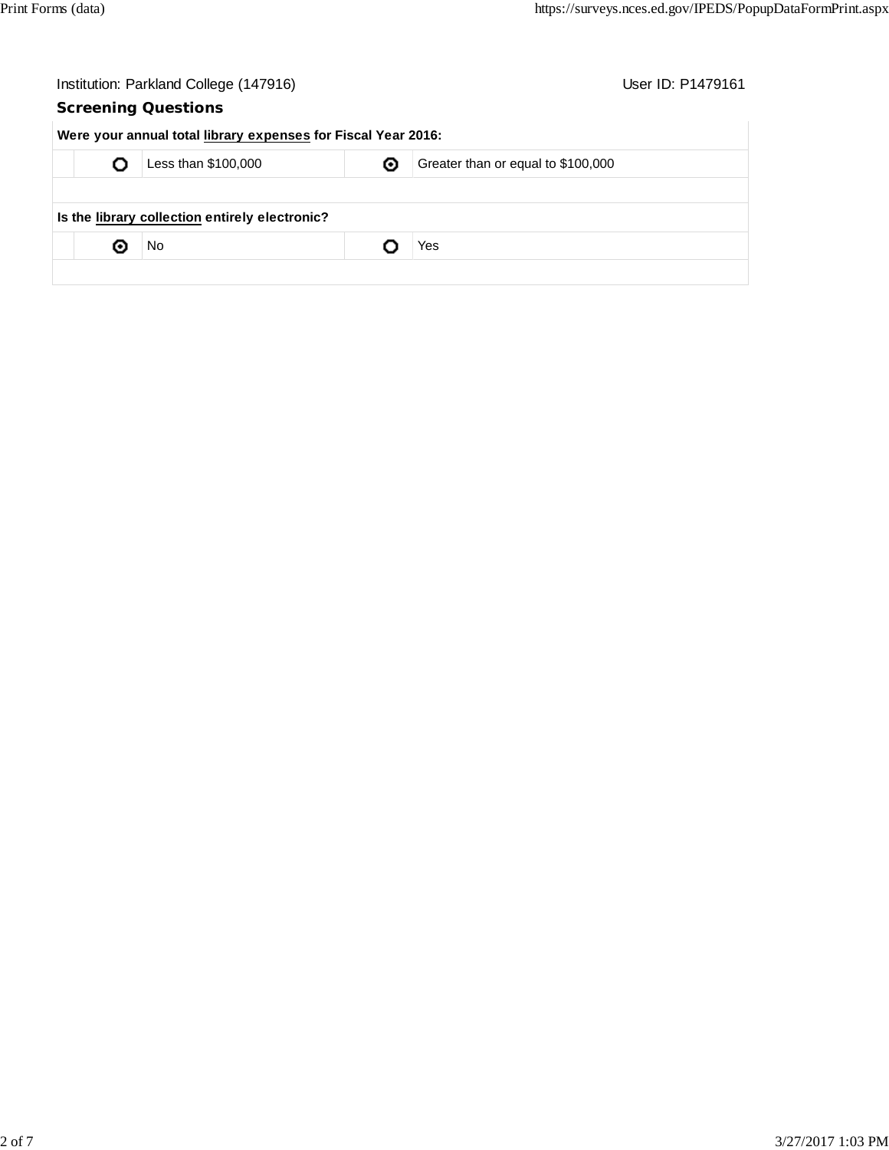|   | Institution: Parkland College (147916)                        |   | User ID: P1479161                  |
|---|---------------------------------------------------------------|---|------------------------------------|
|   | <b>Screening Questions</b>                                    |   |                                    |
|   | Were your annual total library expenses for Fiscal Year 2016: |   |                                    |
|   | Less than \$100,000                                           | ◉ | Greater than or equal to \$100,000 |
|   |                                                               |   |                                    |
|   | Is the library collection entirely electronic?                |   |                                    |
| о | No                                                            |   | Yes                                |
|   |                                                               |   |                                    |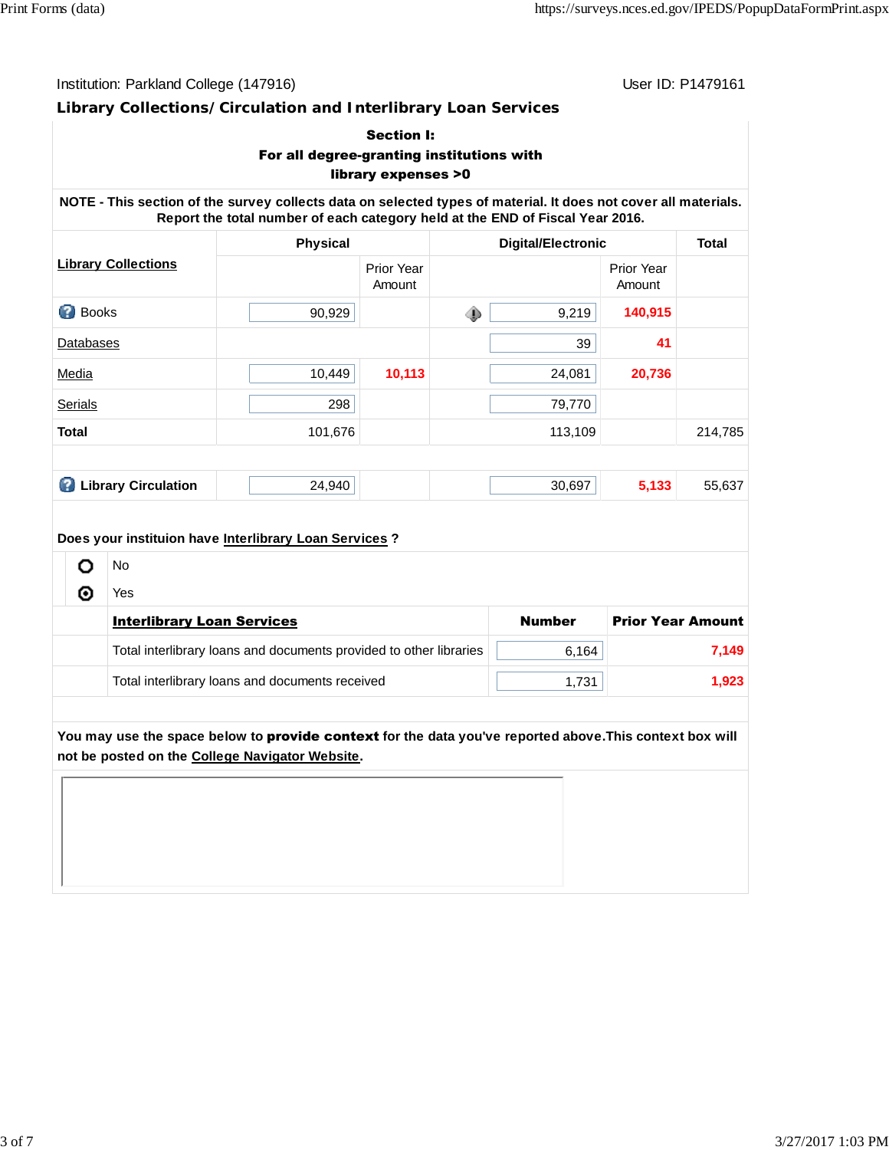User ID: P1479161

## **Library Collections/Circulation and Interlibrary Loan Services**

|                |                                   | For all degree-granting institutions with                                                                                                                                                        | <b>Section I:</b><br>library expenses >0 |                           |               |                          |         |
|----------------|-----------------------------------|--------------------------------------------------------------------------------------------------------------------------------------------------------------------------------------------------|------------------------------------------|---------------------------|---------------|--------------------------|---------|
|                |                                   | NOTE - This section of the survey collects data on selected types of material. It does not cover all materials.<br>Report the total number of each category held at the END of Fiscal Year 2016. |                                          |                           |               |                          |         |
|                |                                   | <b>Physical</b>                                                                                                                                                                                  |                                          | <b>Digital/Electronic</b> |               | <b>Total</b>             |         |
|                | <b>Library Collections</b>        |                                                                                                                                                                                                  | Prior Year<br>Amount                     |                           |               | Prior Year<br>Amount     |         |
| <b>Books</b>   |                                   | 90,929                                                                                                                                                                                           |                                          | ۰                         | 9,219         | 140,915                  |         |
| Databases      |                                   |                                                                                                                                                                                                  |                                          |                           | 39            | 41                       |         |
| Media          |                                   | 10,449                                                                                                                                                                                           | 10,113                                   |                           | 24,081        | 20,736                   |         |
| <b>Serials</b> |                                   | 298                                                                                                                                                                                              |                                          |                           | 79,770        |                          |         |
| <b>Total</b>   |                                   | 101,676                                                                                                                                                                                          |                                          |                           | 113,109       |                          | 214,785 |
|                |                                   |                                                                                                                                                                                                  |                                          |                           |               |                          |         |
|                | <b>C</b> Library Circulation      | 24,940                                                                                                                                                                                           |                                          |                           | 30,697        | 5,133                    | 55,637  |
|                |                                   | Does your instituion have Interlibrary Loan Services?                                                                                                                                            |                                          |                           |               |                          |         |
| o              | <b>No</b>                         |                                                                                                                                                                                                  |                                          |                           |               |                          |         |
| ◉              | Yes                               |                                                                                                                                                                                                  |                                          |                           |               |                          |         |
|                | <b>Interlibrary Loan Services</b> |                                                                                                                                                                                                  |                                          |                           | <b>Number</b> | <b>Prior Year Amount</b> |         |
|                |                                   | Total interlibrary loans and documents provided to other libraries                                                                                                                               |                                          |                           | 6,164         |                          | 7,149   |
|                |                                   | Total interlibrary loans and documents received                                                                                                                                                  |                                          |                           | 1,731         |                          | 1,923   |

**You may use the space below to** provide context **for the data you've reported above.This context box will not be posted on the College Navigator Website.**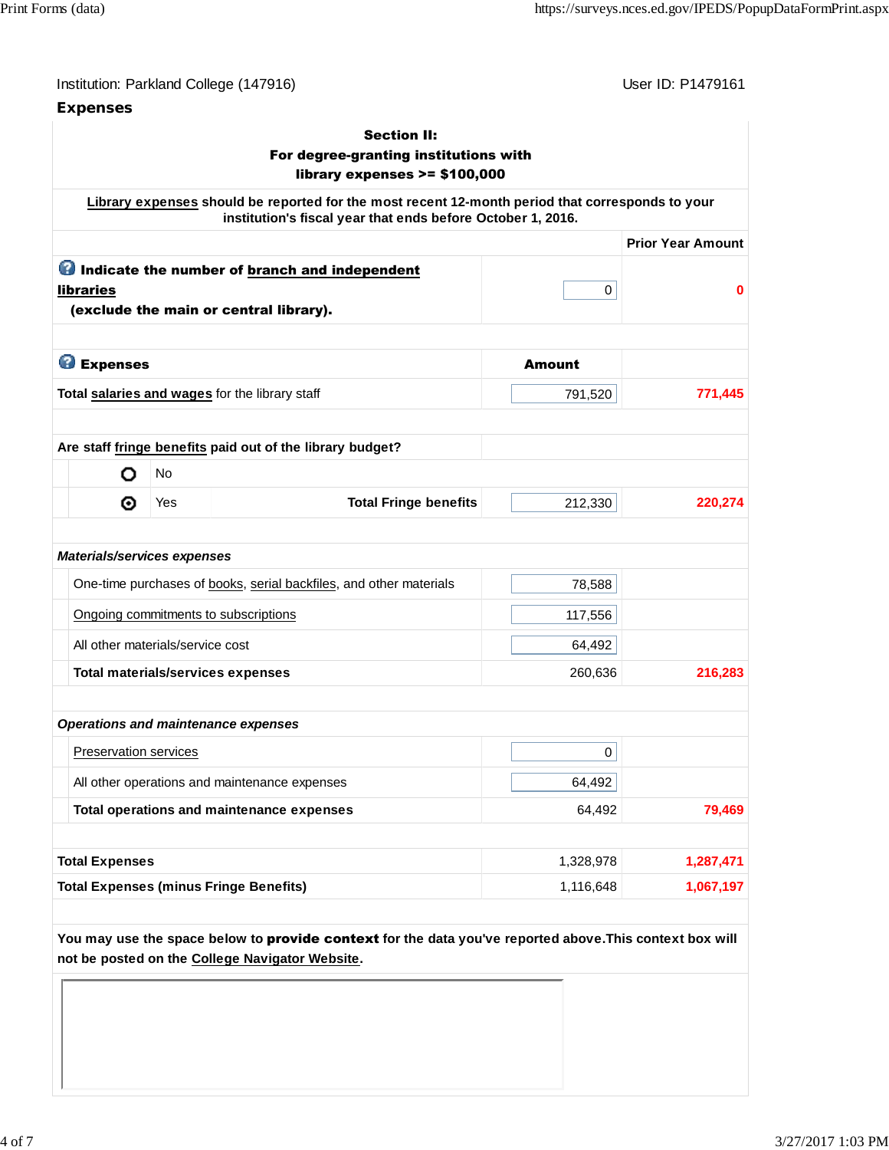| Institution: Parkland College (147916) |  |  |  |
|----------------------------------------|--|--|--|
|----------------------------------------|--|--|--|

### **Expenses**

User ID: P1479161

|                                    |           | <b>Section II:</b><br>For degree-granting institutions with<br>library expenses $>= $100,000$                                                                   |               |                          |
|------------------------------------|-----------|-----------------------------------------------------------------------------------------------------------------------------------------------------------------|---------------|--------------------------|
|                                    |           | Library expenses should be reported for the most recent 12-month period that corresponds to your<br>institution's fiscal year that ends before October 1, 2016. |               |                          |
|                                    |           |                                                                                                                                                                 |               | <b>Prior Year Amount</b> |
| <b>libraries</b>                   |           | <b>O</b> Indicate the number of branch and independent<br>(exclude the main or central library).                                                                | 0             | 0                        |
| <b>B</b> Expenses                  |           |                                                                                                                                                                 | <b>Amount</b> |                          |
|                                    |           | Total salaries and wages for the library staff                                                                                                                  | 791,520       | 771,445                  |
| o                                  | <b>No</b> | Are staff fringe benefits paid out of the library budget?                                                                                                       |               |                          |
| ◉                                  | Yes       | <b>Total Fringe benefits</b>                                                                                                                                    | 212,330       | 220,274                  |
| <b>Materials/services expenses</b> |           |                                                                                                                                                                 |               |                          |
|                                    |           | One-time purchases of books, serial backfiles, and other materials                                                                                              | 78,588        |                          |
|                                    |           | Ongoing commitments to subscriptions                                                                                                                            | 117,556       |                          |
| All other materials/service cost   |           |                                                                                                                                                                 | 64,492        |                          |
|                                    |           | <b>Total materials/services expenses</b>                                                                                                                        | 260,636       | 216,283                  |
|                                    |           | <b>Operations and maintenance expenses</b>                                                                                                                      |               |                          |
| Preservation services              |           |                                                                                                                                                                 | 0             |                          |
|                                    |           | All other operations and maintenance expenses                                                                                                                   | 64,492        |                          |
|                                    |           | Total operations and maintenance expenses                                                                                                                       | 64,492        | 79,469                   |
|                                    |           |                                                                                                                                                                 | 1,328,978     | 1,287,471                |
| <b>Total Expenses</b>              |           |                                                                                                                                                                 |               |                          |

**not be posted on the College Navigator Website.**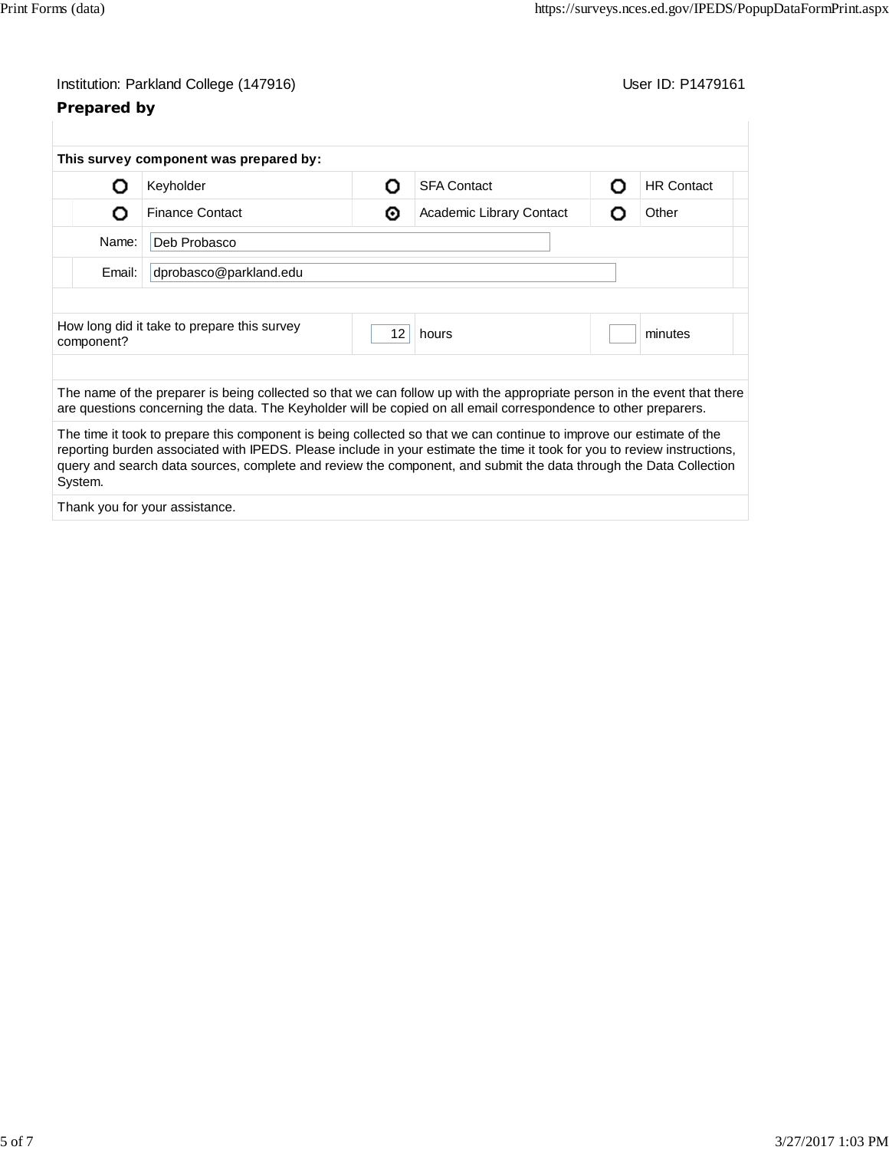| Institution: Parkland College (147916) |  |
|----------------------------------------|--|
|----------------------------------------|--|

# **Prepared by**

User ID: P1479161

|            | This survey component was prepared by:                                                                                                                                                                                                                                                                                                                                |    |                          |    |                   |  |  |
|------------|-----------------------------------------------------------------------------------------------------------------------------------------------------------------------------------------------------------------------------------------------------------------------------------------------------------------------------------------------------------------------|----|--------------------------|----|-------------------|--|--|
| Ω          | Keyholder                                                                                                                                                                                                                                                                                                                                                             | റ  | <b>SFA Contact</b>       | റ  | <b>HR Contact</b> |  |  |
| O          | <b>Finance Contact</b>                                                                                                                                                                                                                                                                                                                                                | ⊙  | Academic Library Contact | נו | Other             |  |  |
| Name:      | Deb Probasco                                                                                                                                                                                                                                                                                                                                                          |    |                          |    |                   |  |  |
| Email:     | dprobasco@parkland.edu                                                                                                                                                                                                                                                                                                                                                |    |                          |    |                   |  |  |
|            |                                                                                                                                                                                                                                                                                                                                                                       |    |                          |    |                   |  |  |
| component? | How long did it take to prepare this survey                                                                                                                                                                                                                                                                                                                           | 12 | hours                    |    | minutes           |  |  |
|            |                                                                                                                                                                                                                                                                                                                                                                       |    |                          |    |                   |  |  |
|            | The name of the preparer is being collected so that we can follow up with the appropriate person in the event that there<br>are questions concerning the data. The Keyholder will be copied on all email correspondence to other preparers.                                                                                                                           |    |                          |    |                   |  |  |
| System.    | The time it took to prepare this component is being collected so that we can continue to improve our estimate of the<br>reporting burden associated with IPEDS. Please include in your estimate the time it took for you to review instructions,<br>query and search data sources, complete and review the component, and submit the data through the Data Collection |    |                          |    |                   |  |  |
|            |                                                                                                                                                                                                                                                                                                                                                                       |    |                          |    |                   |  |  |

Thank you for your assistance.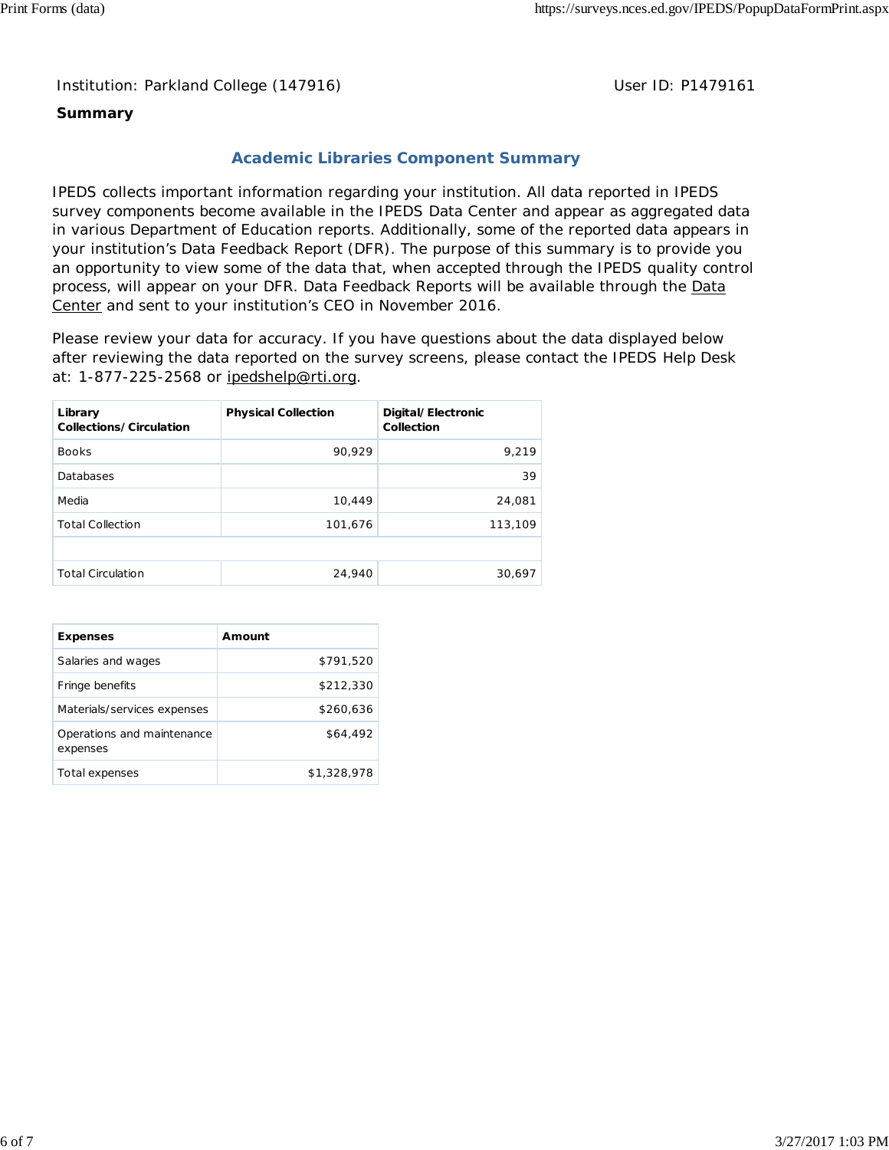Institution: Parkland College (147916) **Distribution: Parkland College (1479161** College College College College College College College College College College College College College College College College College Colle

#### **Summary**

### **Academic Libraries Component Summary**

IPEDS collects important information regarding your institution. All data reported in IPEDS survey components become available in the IPEDS Data Center and appear as aggregated data in various Department of Education reports. Additionally, some of the reported data appears in your institution's Data Feedback Report (DFR). The purpose of this summary is to provide you an opportunity to view some of the data that, when accepted through the IPEDS quality control process, will appear on your DFR. Data Feedback Reports will be available through the Data Center and sent to your institution's CEO in November 2016.

Please review your data for accuracy. If you have questions about the data displayed below after reviewing the data reported on the survey screens, please contact the IPEDS Help Desk at: 1-877-225-2568 or ipedshelp@rti.org.

| Library<br>Collections/Circulation | <b>Physical Collection</b> | Digital/Electronic<br>Collection |
|------------------------------------|----------------------------|----------------------------------|
| <b>Books</b>                       | 90,929                     | 9,219                            |
| Databases                          |                            | 39                               |
| Media                              | 10,449                     | 24,081                           |
| <b>Total Collection</b>            | 101,676                    | 113,109                          |
|                                    |                            |                                  |
| <b>Total Circulation</b>           | 24,940                     | 30,697                           |

| <b>Expenses</b>                        | Amount      |
|----------------------------------------|-------------|
| Salaries and wages                     | \$791,520   |
| Fringe benefits                        | \$212,330   |
| Materials/services expenses            | \$260,636   |
| Operations and maintenance<br>expenses | \$64,492    |
| Total expenses                         | \$1,328,978 |